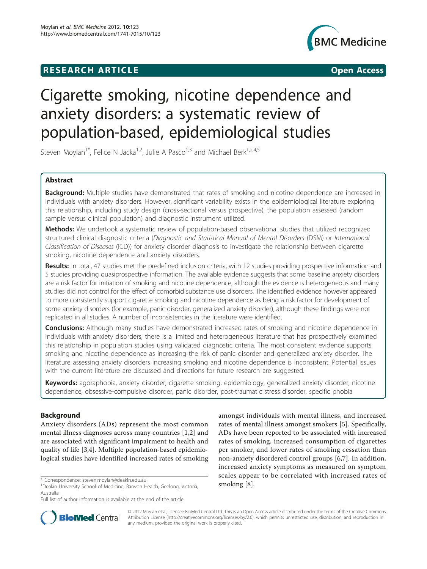## **RESEARCH ARTICLE Example 2018 12:00 DEAR Open Access**



# Cigarette smoking, nicotine dependence and anxiety disorders: a systematic review of population-based, epidemiological studies

Steven Moylan<sup>1\*</sup>, Felice N Jacka<sup>1,2</sup>, Julie A Pasco<sup>1,3</sup> and Michael Berk<sup>1,2,4,5</sup>

## Abstract

Background: Multiple studies have demonstrated that rates of smoking and nicotine dependence are increased in individuals with anxiety disorders. However, significant variability exists in the epidemiological literature exploring this relationship, including study design (cross-sectional versus prospective), the population assessed (random sample versus clinical population) and diagnostic instrument utilized.

Methods: We undertook a systematic review of population-based observational studies that utilized recognized structured clinical diagnostic criteria (Diagnostic and Statistical Manual of Mental Disorders (DSM) or International Classification of Diseases (ICD)) for anxiety disorder diagnosis to investigate the relationship between cigarette smoking, nicotine dependence and anxiety disorders.

Results: In total, 47 studies met the predefined inclusion criteria, with 12 studies providing prospective information and 5 studies providing quasiprospective information. The available evidence suggests that some baseline anxiety disorders are a risk factor for initiation of smoking and nicotine dependence, although the evidence is heterogeneous and many studies did not control for the effect of comorbid substance use disorders. The identified evidence however appeared to more consistently support cigarette smoking and nicotine dependence as being a risk factor for development of some anxiety disorders (for example, panic disorder, generalized anxiety disorder), although these findings were not replicated in all studies. A number of inconsistencies in the literature were identified.

**Conclusions:** Although many studies have demonstrated increased rates of smoking and nicotine dependence in individuals with anxiety disorders, there is a limited and heterogeneous literature that has prospectively examined this relationship in population studies using validated diagnostic criteria. The most consistent evidence supports smoking and nicotine dependence as increasing the risk of panic disorder and generalized anxiety disorder. The literature assessing anxiety disorders increasing smoking and nicotine dependence is inconsistent. Potential issues with the current literature are discussed and directions for future research are suggested.

Keywords: agoraphobia, anxiety disorder, cigarette smoking, epidemiology, generalized anxiety disorder, nicotine dependence, obsessive-compulsive disorder, panic disorder, post-traumatic stress disorder, specific phobia

## Background

Anxiety disorders (ADs) represent the most common mental illness diagnoses across many countries [\[1,2](#page-11-0)] and are associated with significant impairment to health and quality of life [[3,4\]](#page-11-0). Multiple population-based epidemiological studies have identified increased rates of smoking

amongst individuals with mental illness, and increased rates of mental illness amongst smokers [[5\]](#page-11-0). Specifically, ADs have been reported to be associated with increased rates of smoking, increased consumption of cigarettes per smoker, and lower rates of smoking cessation than non-anxiety disordered control groups [\[6,7](#page-11-0)]. In addition, increased anxiety symptoms as measured on symptom scales appear to be correlated with increased rates of



© 2012 Moylan et al; licensee BioMed Central Ltd. This is an Open Access article distributed under the terms of the Creative Commons Attribution License [\(http://creativecommons.org/licenses/by/2.0](http://creativecommons.org/licenses/by/2.0)), which permits unrestricted use, distribution, and reproduction in any medium, provided the original work is properly cited.

<sup>\*</sup> Correspondence: [steven.moylan@deakin.edu.au](mailto:steven.moylan@deakin.edu.au)<br><sup>1</sup>Deakin University School of Medicine, Barwon Health, Geelong, Victoria, **smoking [\[8\]](#page-11-0).** Australia

Full list of author information is available at the end of the article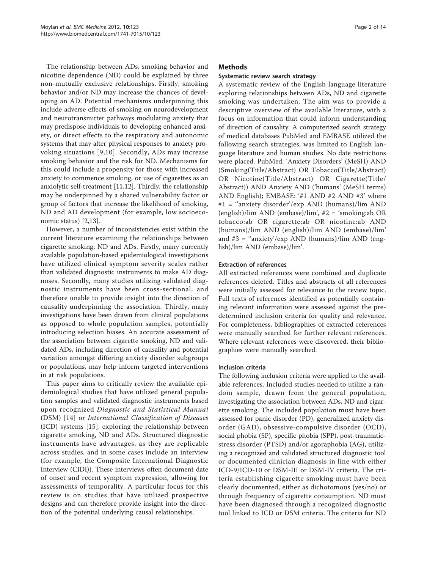The relationship between ADs, smoking behavior and nicotine dependence (ND) could be explained by three non-mutually exclusive relationships. Firstly, smoking behavior and/or ND may increase the chances of developing an AD. Potential mechanisms underpinning this include adverse effects of smoking on neurodevelopment and neurotransmitter pathways modulating anxiety that may predispose individuals to developing enhanced anxiety, or direct effects to the respiratory and autonomic systems that may alter physical responses to anxiety provoking situations [[9](#page-11-0),[10](#page-11-0)]. Secondly, ADs may increase smoking behavior and the risk for ND. Mechanisms for this could include a propensity for those with increased anxiety to commence smoking, or use of cigarettes as an anxiolytic self-treatment [[11,12\]](#page-11-0). Thirdly, the relationship may be underpinned by a shared vulnerability factor or group of factors that increase the likelihood of smoking, ND and AD development (for example, low socioeconomic status) [\[2,13](#page-11-0)].

However, a number of inconsistencies exist within the current literature examining the relationships between cigarette smoking, ND and ADs. Firstly, many currently available population-based epidemiological investigations have utilized clinical symptom severity scales rather than validated diagnostic instruments to make AD diagnoses. Secondly, many studies utilizing validated diagnostic instruments have been cross-sectional, and therefore unable to provide insight into the direction of causality underpinning the association. Thirdly, many investigations have been drawn from clinical populations as opposed to whole population samples, potentially introducing selection biases. An accurate assessment of the association between cigarette smoking, ND and validated ADs, including direction of causality and potential variation amongst differing anxiety disorder subgroups or populations, may help inform targeted interventions in at risk populations.

This paper aims to critically review the available epidemiological studies that have utilized general population samples and validated diagnostic instruments based upon recognized Diagnostic and Statistical Manual (DSM) [\[14\]](#page-11-0) or International Classification of Diseases (ICD) systems [[15\]](#page-11-0), exploring the relationship between cigarette smoking, ND and ADs. Structured diagnostic instruments have advantages, as they are replicable across studies, and in some cases include an interview (for example, the Composite International Diagnostic Interview (CIDI)). These interviews often document date of onset and recent symptom expression, allowing for assessments of temporality. A particular focus for this review is on studies that have utilized prospective designs and can therefore provide insight into the direction of the potential underlying causal relationships.

## Methods

#### Systematic review search strategy

A systematic review of the English language literature exploring relationships between ADs, ND and cigarette smoking was undertaken. The aim was to provide a descriptive overview of the available literature, with a focus on information that could inform understanding of direction of causality. A computerized search strategy of medical databases PubMed and EMBASE utilized the following search strategies, was limited to English language literature and human studies. No date restrictions were placed. PubMed: 'Anxiety Disorders' (MeSH) AND (Smoking(Title/Abstract) OR Tobacco(Title/Abstract) OR Nicotine(Title/Abstract) OR Cigarette(Title/ Abstract)) AND Anxiety AND ('humans' (MeSH terms) AND English); EMBASE: '#1 AND #2 AND #3' where #1 = ''anxiety disorder'/exp AND (humans)/lim AND (english)/lim AND (embase)/lim', #2 = 'smoking:ab OR tobacco:ab OR cigarette:ab OR nicotine:ab AND (humans)/lim AND (english)/lim AND (embase)/lim' and  $#3 =$  "anxiety'/exp AND (humans)/lim AND (english)/lim AND (embase)/lim'.

#### Extraction of references

All extracted references were combined and duplicate references deleted. Titles and abstracts of all references were initially assessed for relevance to the review topic. Full texts of references identified as potentially containing relevant information were assessed against the predetermined inclusion criteria for quality and relevance. For completeness, bibliographies of extracted references were manually searched for further relevant references. Where relevant references were discovered, their bibliographies were manually searched.

#### Inclusion criteria

The following inclusion criteria were applied to the available references. Included studies needed to utilize a random sample, drawn from the general population, investigating the association between ADs, ND and cigarette smoking. The included population must have been assessed for panic disorder (PD), generalized anxiety disorder (GAD), obsessive-compulsive disorder (OCD), social phobia (SP), specific phobia (SPP), post-traumaticstress disorder (PTSD) and/or agoraphobia (AG), utilizing a recognized and validated structured diagnostic tool or documented clinician diagnosis in line with either ICD-9/ICD-10 or DSM-III or DSM-IV criteria. The criteria establishing cigarette smoking must have been clearly documented, either as dichotomous (yes/no) or through frequency of cigarette consumption. ND must have been diagnosed through a recognized diagnostic tool linked to ICD or DSM criteria. The criteria for ND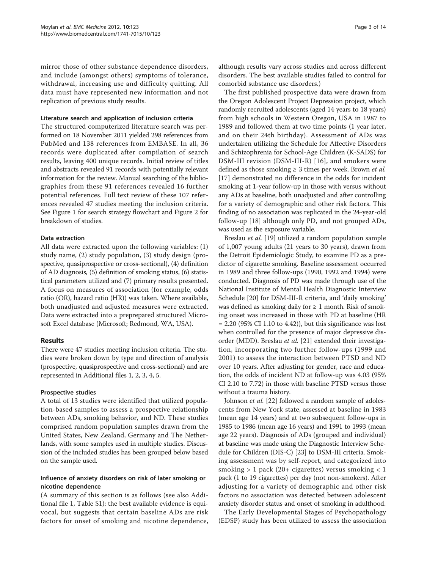mirror those of other substance dependence disorders, and include (amongst others) symptoms of tolerance, withdrawal, increasing use and difficulty quitting. All data must have represented new information and not replication of previous study results.

#### Literature search and application of inclusion criteria

The structured computerized literature search was performed on 18 November 2011 yielded 298 references from PubMed and 138 references from EMBASE. In all, 36 records were duplicated after compilation of search results, leaving 400 unique records. Initial review of titles and abstracts revealed 91 records with potentially relevant information for the review. Manual searching of the bibliographies from these 91 references revealed 16 further potential references. Full text review of these 107 references revealed 47 studies meeting the inclusion criteria. See Figure [1](#page-3-0) for search strategy flowchart and Figure [2](#page-4-0) for breakdown of studies.

#### Data extraction

All data were extracted upon the following variables: (1) study name, (2) study population, (3) study design (prospective, quasiprospective or cross-sectional), (4) definition of AD diagnosis, (5) definition of smoking status, (6) statistical parameters utilized and (7) primary results presented. A focus on measures of association (for example, odds ratio (OR), hazard ratio (HR)) was taken. Where available, both unadjusted and adjusted measures were extracted. Data were extracted into a preprepared structured Microsoft Excel database (Microsoft; Redmond, WA, USA).

#### Results

There were 47 studies meeting inclusion criteria. The studies were broken down by type and direction of analysis (prospective, quasiprospective and cross-sectional) and are represented in Additional files [1](#page-10-0), [2, 3](#page-10-0), [4, 5](#page-10-0).

#### Prospective studies

A total of 13 studies were identified that utilized population-based samples to assess a prospective relationship between ADs, smoking behavior, and ND. These studies comprised random population samples drawn from the United States, New Zealand, Germany and The Netherlands, with some samples used in multiple studies. Discussion of the included studies has been grouped below based on the sample used.

## Influence of anxiety disorders on risk of later smoking or nicotine dependence

(A summary of this section is as follows (see also Additional file [1](#page-10-0), Table S1): the best available evidence is equivocal, but suggests that certain baseline ADs are risk factors for onset of smoking and nicotine dependence, although results vary across studies and across different disorders. The best available studies failed to control for comorbid substance use disorders.)

The first published prospective data were drawn from the Oregon Adolescent Project Depression project, which randomly recruited adolescents (aged 14 years to 18 years) from high schools in Western Oregon, USA in 1987 to 1989 and followed them at two time points (1 year later, and on their 24th birthday). Assessment of ADs was undertaken utilizing the Schedule for Affective Disorders and Schizophrenia for School-Age Children (K-SADS) for DSM-III revision (DSM-III-R) [[16\]](#page-11-0), and smokers were defined as those smoking  $\geq 3$  times per week. Brown *et al.* [[17\]](#page-11-0) demonstrated no difference in the odds for incident smoking at 1-year follow-up in those with versus without any ADs at baseline, both unadjusted and after controlling for a variety of demographic and other risk factors. This finding of no association was replicated in the 24-year-old follow-up [[18\]](#page-11-0) although only PD, and not grouped ADs, was used as the exposure variable.

Breslau et al. [[19\]](#page-11-0) utilized a random population sample of 1,007 young adults (21 years to 30 years), drawn from the Detroit Epidemiologic Study, to examine PD as a predictor of cigarette smoking. Baseline assessment occurred in 1989 and three follow-ups (1990, 1992 and 1994) were conducted. Diagnosis of PD was made through use of the National Institute of Mental Health Diagnostic Interview Schedule [[20](#page-11-0)] for DSM-III-R criteria, and 'daily smoking' was defined as smoking daily for  $\geq 1$  month. Risk of smoking onset was increased in those with PD at baseline (HR  $= 2.20$  (95% CI 1.10 to 4.42)), but this significance was lost when controlled for the presence of major depressive dis-order (MDD). Breslau et al. [[21](#page-11-0)] extended their investigation, incorporating two further follow-ups (1999 and 2001) to assess the interaction between PTSD and ND over 10 years. After adjusting for gender, race and education, the odds of incident ND at follow-up was 4.03 (95% CI 2.10 to 7.72) in those with baseline PTSD versus those without a trauma history.

Johnson et al. [\[22\]](#page-11-0) followed a random sample of adolescents from New York state, assessed at baseline in 1983 (mean age 14 years) and at two subsequent follow-ups in 1985 to 1986 (mean age 16 years) and 1991 to 1993 (mean age 22 years). Diagnosis of ADs (grouped and individual) at baseline was made using the Diagnostic Interview Schedule for Children (DIS-C) [[23\]](#page-11-0) to DSM-III criteria. Smoking assessment was by self-report, and categorized into smoking  $> 1$  pack (20+ cigarettes) versus smoking  $< 1$ pack (1 to 19 cigarettes) per day (not non-smokers). After adjusting for a variety of demographic and other risk factors no association was detected between adolescent anxiety disorder status and onset of smoking in adulthood.

The Early Developmental Stages of Psychopathology (EDSP) study has been utilized to assess the association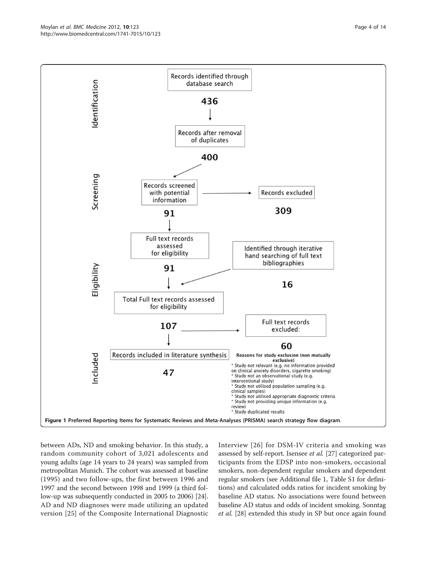<span id="page-3-0"></span>

between ADs, ND and smoking behavior. In this study, a random community cohort of 3,021 adolescents and young adults (age 14 years to 24 years) was sampled from metropolitan Munich. The cohort was assessed at baseline (1995) and two follow-ups, the first between 1996 and 1997 and the second between 1998 and 1999 (a third follow-up was subsequently conducted in 2005 to 2006) [[24](#page-11-0)]. AD and ND diagnoses were made utilizing an updated version [[25](#page-11-0)] of the Composite International Diagnostic

Interview [[26\]](#page-11-0) for DSM-IV criteria and smoking was assessed by self-report. Isensee et al. [[27](#page-11-0)] categorized participants from the EDSP into non-smokers, occasional smokers, non-dependent regular smokers and dependent regular smokers (see Additional file [1](#page-10-0), Table S1 for definitions) and calculated odds ratios for incident smoking by baseline AD status. No associations were found between baseline AD status and odds of incident smoking. Sonntag et al. [[28\]](#page-11-0) extended this study in SP but once again found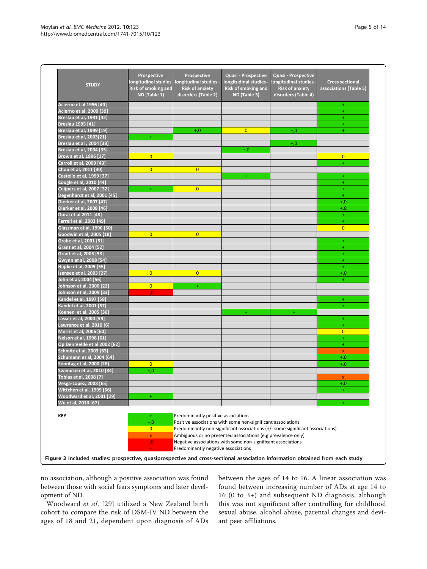<span id="page-4-0"></span>

| <b>STUDY</b>                     | Prospective<br>longitudinal studies<br><b>Risk of smoking and</b><br>ND (Table 1) | Prospective<br>longitudinal studies -<br><b>Risk of anxiety</b><br>disorders (Table 2) | Quasi - Prospective<br>longitudinal studies -<br>Risk of smoking and<br>ND (Table 3) | Quasi - Prospective<br>longitudinal studies -<br><b>Risk of anxiety</b><br>disorders (Table 4) | <b>Cross sectional</b><br>associations (Table 5) |
|----------------------------------|-----------------------------------------------------------------------------------|----------------------------------------------------------------------------------------|--------------------------------------------------------------------------------------|------------------------------------------------------------------------------------------------|--------------------------------------------------|
| Acierno et al 1996 [40]          |                                                                                   |                                                                                        |                                                                                      |                                                                                                | $\ddot{}$                                        |
| Acierno et al, 2000 [39]         |                                                                                   |                                                                                        |                                                                                      |                                                                                                | $+$                                              |
| Breslau et al, 1991 [42]         |                                                                                   |                                                                                        |                                                                                      |                                                                                                | $+$                                              |
| <b>Breslau 1995 [41]</b>         |                                                                                   |                                                                                        |                                                                                      |                                                                                                | $+$                                              |
| Breslau et al, 1999 [19]         |                                                                                   | $+,0$                                                                                  | $\overline{0}$                                                                       | $+,0$                                                                                          | $+$                                              |
| <b>Breslau et al, 2003[21]</b>   | $+$                                                                               |                                                                                        |                                                                                      |                                                                                                |                                                  |
| Breslau et al, 2004 [38]         |                                                                                   |                                                                                        |                                                                                      | $+,0$                                                                                          |                                                  |
| <b>Breslau et al, 2004 [35]</b>  |                                                                                   |                                                                                        | $+0,$                                                                                |                                                                                                |                                                  |
| Brown et al, 1996 [17]           | $\overline{0}$                                                                    |                                                                                        |                                                                                      |                                                                                                | $\overline{0}$                                   |
| Carroll et al, 2009 [43]         |                                                                                   |                                                                                        |                                                                                      |                                                                                                | $+$                                              |
| Chou et al, 2011 [30]            | $\overline{0}$                                                                    | $\overline{0}$                                                                         |                                                                                      |                                                                                                |                                                  |
| Costello et al, 1999 [37]        |                                                                                   |                                                                                        | $+$                                                                                  |                                                                                                | $\ddot{}$                                        |
| Cougle et al, 2010 [44]          |                                                                                   |                                                                                        |                                                                                      |                                                                                                | $\ddot{}$                                        |
| <b>Cuijpers et al, 2007 [32]</b> | $+$                                                                               | $\overline{0}$                                                                         |                                                                                      |                                                                                                | $+$                                              |
| Degenhardt et al, 2001 [45]      |                                                                                   |                                                                                        |                                                                                      |                                                                                                | $+$                                              |
| Dierker et al, 2007 [47]         |                                                                                   |                                                                                        |                                                                                      |                                                                                                | $+,0$                                            |
| Dierker et al, 2008 [46]         |                                                                                   |                                                                                        |                                                                                      |                                                                                                | $^{+,0}$                                         |
| Durai et al 2011 [48]            |                                                                                   |                                                                                        |                                                                                      |                                                                                                | $+$                                              |
| Farrell et al, 2003 [49]         |                                                                                   |                                                                                        |                                                                                      |                                                                                                | $+$                                              |
| Glassman et al, 1990 [50]        |                                                                                   |                                                                                        |                                                                                      |                                                                                                | $\overline{0}$                                   |
| Goodwin et al, 2005 [18]         | $\overline{0}$                                                                    | $\overline{0}$                                                                         |                                                                                      |                                                                                                |                                                  |
| Grabe et al, 2001 [51]           |                                                                                   |                                                                                        |                                                                                      |                                                                                                | $\ddot{}$                                        |
| Grant et al, 2004 [52]           |                                                                                   |                                                                                        |                                                                                      |                                                                                                | $\ddot{}$                                        |
| Grant et al, 2005 [53]           |                                                                                   |                                                                                        |                                                                                      |                                                                                                | $+$                                              |
| Gwynn et al, 2008 [54]           |                                                                                   |                                                                                        |                                                                                      |                                                                                                | $\ddot{}$                                        |
| Hapke et al, 2005 [55]           |                                                                                   |                                                                                        |                                                                                      |                                                                                                | $\ddot{}$                                        |
| Isensee et al, 2003 [27]         | $\overline{0}$                                                                    | $\overline{0}$                                                                         |                                                                                      |                                                                                                | $+0,$                                            |
| John et al, 2004 [56]            |                                                                                   |                                                                                        |                                                                                      |                                                                                                | $\ddot{}$                                        |
| Johnson et al, 2000 [22]         | $\overline{0}$                                                                    | $\ddot{}$                                                                              |                                                                                      |                                                                                                |                                                  |
| Johnson et al, 2009 [33]         | $-0.$                                                                             |                                                                                        |                                                                                      |                                                                                                |                                                  |
| Kandel et al, 1997 [58]          |                                                                                   |                                                                                        |                                                                                      |                                                                                                | $\ddot{}$                                        |
| Kandel et al, 2001 [57]          |                                                                                   |                                                                                        |                                                                                      |                                                                                                | $\ddot{}$                                        |
| Koenen et al, 2005 [36]          |                                                                                   |                                                                                        | Ŧ                                                                                    | ÷                                                                                              |                                                  |
| Lasser et al, 2000 [59]          |                                                                                   |                                                                                        |                                                                                      |                                                                                                | $+$                                              |
| Lawrence et al, 2010 [6]         |                                                                                   |                                                                                        |                                                                                      |                                                                                                | $\ddot{}$                                        |
| Morris et al, 2006 [60]          |                                                                                   |                                                                                        |                                                                                      |                                                                                                | $\overline{0}$                                   |
| Nelson et al, 1998 [61]          |                                                                                   |                                                                                        |                                                                                      |                                                                                                | $\ddot{}$                                        |
| Op Den Velde et al 2002 [62]     |                                                                                   |                                                                                        |                                                                                      |                                                                                                | $+$                                              |
| <b>Schmitz et al, 2003 [63]</b>  |                                                                                   |                                                                                        |                                                                                      |                                                                                                | $\mathbf{x}$                                     |
| <b>Schumann et al, 2004 [64]</b> |                                                                                   |                                                                                        |                                                                                      |                                                                                                | $^{+,0}$                                         |
| Sonntag et al, 2000 [28]         | $\overline{0}$                                                                    |                                                                                        |                                                                                      |                                                                                                | $^{+,0}$                                         |
| Swendsen et al, 2010 [34]        | $+,0$                                                                             |                                                                                        |                                                                                      |                                                                                                |                                                  |
| Tobias et al, 2008 [7]           |                                                                                   |                                                                                        |                                                                                      |                                                                                                | $\mathbf x$                                      |
| Vesga-Lopez, 2008 [65]           |                                                                                   |                                                                                        |                                                                                      |                                                                                                | +,u                                              |
| Wittchen et al, 1999 [66]        |                                                                                   |                                                                                        |                                                                                      |                                                                                                | $+$                                              |
| Woodward et al, 2001 [29]        | ÷                                                                                 |                                                                                        |                                                                                      |                                                                                                |                                                  |
| Wu et al, 2010 [67]              |                                                                                   |                                                                                        |                                                                                      |                                                                                                | $\ddot{}$                                        |
|                                  |                                                                                   |                                                                                        |                                                                                      |                                                                                                |                                                  |
| KEY                              | $\pm$                                                                             | Predominantly positive associations                                                    |                                                                                      |                                                                                                |                                                  |
|                                  | $+1,0$                                                                            |                                                                                        | Positive associations with some non-significant associations                         |                                                                                                |                                                  |
|                                  | $\overline{0}$                                                                    | Predominantly non-significant associations (+/- some significant associations)         |                                                                                      |                                                                                                |                                                  |

Predominantly negative associations Figure 2 Included studies: prospective, quasiprospective and cross-sectional association information obtained from each study.

-,0 Negative associations with some non-significant associations

no association, although a positive association was found between those with social fears symptoms and later development of ND.

Woodward et al. [[29](#page-11-0)] utilized a New Zealand birth cohort to compare the risk of DSM-IV ND between the ages of 18 and 21, dependent upon diagnosis of ADs between the ages of 14 to 16. A linear association was found between increasing number of ADs at age 14 to 16 (0 to 3+) and subsequent ND diagnosis, although this was not significant after controlling for childhood sexual abuse, alcohol abuse, parental changes and deviant peer affiliations.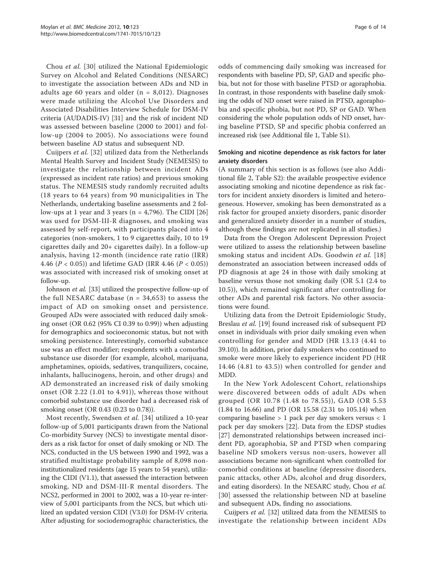Chou et al. [\[30\]](#page-11-0) utilized the National Epidemiologic Survey on Alcohol and Related Conditions (NESARC) to investigate the association between ADs and ND in adults age 60 years and older ( $n = 8,012$ ). Diagnoses were made utilizing the Alcohol Use Disorders and Associated Disabilities Interview Schedule for DSM-IV criteria (AUDADIS-IV) [[31\]](#page-11-0) and the risk of incident ND was assessed between baseline (2000 to 2001) and follow-up (2004 to 2005). No associations were found between baseline AD status and subsequent ND.

Cuijpers et al. [[32\]](#page-12-0) utilized data from the Netherlands Mental Health Survey and Incident Study (NEMESIS) to investigate the relationship between incident ADs (expressed as incident rate ratios) and previous smoking status. The NEMESIS study randomly recruited adults (18 years to 64 years) from 90 municipalities in The Netherlands, undertaking baseline assessments and 2 follow-ups at 1 year and 3 years ( $n = 4,796$ ). The CIDI [\[26](#page-11-0)] was used for DSM-III-R diagnoses, and smoking was assessed by self-report, with participants placed into 4 categories (non-smokers, 1 to 9 cigarettes daily, 10 to 19 cigarettes daily and 20+ cigarettes daily). In a follow-up analysis, having 12-month (incidence rate ratio (IRR) 4.46 ( $P < 0.05$ )) and lifetime GAD (IRR 4.46 ( $P < 0.05$ )) was associated with increased risk of smoking onset at follow-up.

Johnson et al. [[33\]](#page-12-0) utilized the prospective follow-up of the full NESARC database ( $n = 34,653$ ) to assess the impact of AD on smoking onset and persistence. Grouped ADs were associated with reduced daily smoking onset (OR 0.62 (95% CI 0.39 to 0.99)) when adjusting for demographics and socioeconomic status, but not with smoking persistence. Interestingly, comorbid substance use was an effect modifier; respondents with a comorbid substance use disorder (for example, alcohol, marijuana, amphetamines, opioids, sedatives, tranquilizers, cocaine, inhalants, hallucinogens, heroin, and other drugs) and AD demonstrated an increased risk of daily smoking onset (OR 2.22 (1.01 to 4.91)), whereas those without comorbid substance use disorder had a decreased risk of smoking onset (OR 0.43 (0.23 to 0.78)).

Most recently, Swendsen et al. [[34\]](#page-12-0) utilized a 10-year follow-up of 5,001 participants drawn from the National Co-morbidity Survey (NCS) to investigate mental disorders as a risk factor for onset of daily smoking or ND. The NCS, conducted in the US between 1990 and 1992, was a stratified multistage probability sample of 8,098 noninstitutionalized residents (age 15 years to 54 years), utilizing the CIDI (V1.1), that assessed the interaction between smoking, ND and DSM-III-R mental disorders. The NCS2, performed in 2001 to 2002, was a 10-year re-interview of 5,001 participants from the NCS, but which utilized an updated version CIDI (V3.0) for DSM-IV criteria. After adjusting for sociodemographic characteristics, the Page 6 of 14

odds of commencing daily smoking was increased for respondents with baseline PD, SP, GAD and specific phobia, but not for those with baseline PTSD or agoraphobia. In contrast, in those respondents with baseline daily smoking the odds of ND onset were raised in PTSD, agoraphobia and specific phobia, but not PD, SP or GAD. When considering the whole population odds of ND onset, having baseline PTSD, SP and specific phobia conferred an increased risk (see Additional file [1,](#page-10-0) Table S1).

## Smoking and nicotine dependence as risk factors for later anxiety disorders

(A summary of this section is as follows (see also Additional file [2](#page-10-0), Table S2): the available prospective evidence associating smoking and nicotine dependence as risk factors for incident anxiety disorders is limited and heterogeneous. However, smoking has been demonstrated as a risk factor for grouped anxiety disorders, panic disorder and generalized anxiety disorder in a number of studies, although these findings are not replicated in all studies.)

Data from the Oregon Adolescent Depression Project were utilized to assess the relationship between baseline smoking status and incident ADs. Goodwin et al. [[18](#page-11-0)] demonstrated an association between increased odds of PD diagnosis at age 24 in those with daily smoking at baseline versus those not smoking daily (OR 5.1 (2.4 to 10.5)), which remained significant after controlling for other ADs and parental risk factors. No other associations were found.

Utilizing data from the Detroit Epidemiologic Study, Breslau et al. [\[19\]](#page-11-0) found increased risk of subsequent PD onset in individuals with prior daily smoking even when controlling for gender and MDD (HR 13.13 (4.41 to 39.10)). In addition, prior daily smokers who continued to smoke were more likely to experience incident PD (HR 14.46 (4.81 to 43.5)) when controlled for gender and MDD.

In the New York Adolescent Cohort, relationships were discovered between odds of adult ADs when grouped (OR 10.78 (1.48 to 78.55)), GAD (OR 5.53 (1.84 to 16.66) and PD (OR 15.58 (2.31 to 105.14) when comparing baseline > 1 pack per day smokers versus < 1 pack per day smokers [\[22](#page-11-0)]. Data from the EDSP studies [[27\]](#page-11-0) demonstrated relationships between increased incident PD, agoraphobia, SP and PTSD when comparing baseline ND smokers versus non-users, however all associations became non-significant when controlled for comorbid conditions at baseline (depressive disorders, panic attacks, other ADs, alcohol and drug disorders, and eating disorders). In the NESARC study, Chou et al. [[30](#page-11-0)] assessed the relationship between ND at baseline and subsequent ADs, finding no associations.

Cuijpers et al. [\[32\]](#page-12-0) utilized data from the NEMESIS to investigate the relationship between incident ADs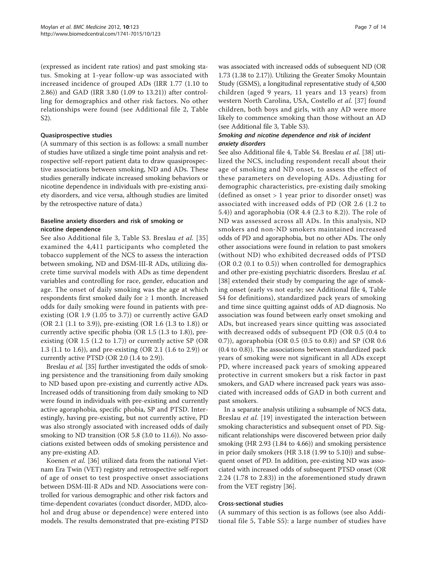(expressed as incident rate ratios) and past smoking status. Smoking at 1-year follow-up was associated with increased incidence of grouped ADs (IRR 1.77 (1.10 to 2.86)) and GAD (IRR 3.80 (1.09 to 13.21)) after controlling for demographics and other risk factors. No other relationships were found (see Additional file [2,](#page-10-0) Table S2).

#### Quasiprospective studies

(A summary of this section is as follows: a small number of studies have utilized a single time point analysis and retrospective self-report patient data to draw quasiprospective associations between smoking, ND and ADs. These studies generally indicate increased smoking behaviors or nicotine dependence in individuals with pre-existing anxiety disorders, and vice versa, although studies are limited by the retrospective nature of data.)

### Baseline anxiety disorders and risk of smoking or nicotine dependence

See also Additional file [3,](#page-10-0) Table S3. Breslau et al. [[35](#page-12-0)] examined the 4,411 participants who completed the tobacco supplement of the NCS to assess the interaction between smoking, ND and DSM-III-R ADs, utilizing discrete time survival models with ADs as time dependent variables and controlling for race, gender, education and age. The onset of daily smoking was the age at which respondents first smoked daily for  $\geq 1$  month. Increased odds for daily smoking were found in patients with preexisting (OR 1.9 (1.05 to 3.7)) or currently active GAD (OR 2.1 (1.1 to 3.9)), pre-existing (OR 1.6 (1.3 to 1.8)) or currently active specific phobia (OR 1.5 (1.3 to 1.8)), preexisting (OR 1.5 (1.2 to 1.7)) or currently active SP (OR 1.3 (1.1 to 1.6)), and pre-existing (OR 2.1 (1.6 to 2.9)) or currently active PTSD (OR 2.0 (1.4 to 2.9)).

Breslau et al. [\[35\]](#page-12-0) further investigated the odds of smoking persistence and the transitioning from daily smoking to ND based upon pre-existing and currently active ADs. Increased odds of transitioning from daily smoking to ND were found in individuals with pre-existing and currently active agoraphobia, specific phobia, SP and PTSD. Interestingly, having pre-existing, but not currently active, PD was also strongly associated with increased odds of daily smoking to ND transition (OR 5.8 (3.0 to 11.6)). No associations existed between odds of smoking persistence and any pre-existing AD.

Koenen et al. [[36](#page-12-0)] utilized data from the national Vietnam Era Twin (VET) registry and retrospective self-report of age of onset to test prospective onset associations between DSM-III-R ADs and ND. Associations were controlled for various demographic and other risk factors and time-dependent covariates (conduct disorder, MDD, alcohol and drug abuse or dependence) were entered into models. The results demonstrated that pre-existing PTSD was associated with increased odds of subsequent ND (OR 1.73 (1.38 to 2.17)). Utilizing the Greater Smoky Mountain Study (GSMS), a longitudinal representative study of 4,500 children (aged 9 years, 11 years and 13 years) from western North Carolina, USA, Costello et al. [[37](#page-12-0)] found children, both boys and girls, with any AD were more likely to commence smoking than those without an AD (see Additional file [3,](#page-10-0) Table S3).

#### Smoking and nicotine dependence and risk of incident anxiety disorders

See also Additional file [4](#page-10-0), Table S4. Breslau et al. [\[38](#page-12-0)] utilized the NCS, including respondent recall about their age of smoking and ND onset, to assess the effect of these parameters on developing ADs. Adjusting for demographic characteristics, pre-existing daily smoking (defined as onset > 1 year prior to disorder onset) was associated with increased odds of PD (OR 2.6 (1.2 to 5.4)) and agoraphobia (OR 4.4 (2.3 to 8.2)). The role of ND was assessed across all ADs. In this analysis, ND smokers and non-ND smokers maintained increased odds of PD and agoraphobia, but no other ADs. The only other associations were found in relation to past smokers (without ND) who exhibited decreased odds of PTSD (OR 0.2 (0.1 to 0.5)) when controlled for demographics and other pre-existing psychiatric disorders. Breslau et al. [[38\]](#page-12-0) extended their study by comparing the age of smoking onset (early vs not early; see Additional file [4,](#page-10-0) Table S4 for definitions), standardized pack years of smoking and time since quitting against odds of AD diagnosis. No association was found between early onset smoking and ADs, but increased years since quitting was associated with decreased odds of subsequent PD (OR 0.5 (0.4 to 0.7)), agoraphobia (OR 0.5 (0.5 to 0.8)) and SP (OR 0.6 (0.4 to 0.8)). The associations between standardized pack years of smoking were not significant in all ADs except PD, where increased pack years of smoking appeared protective in current smokers but a risk factor in past smokers, and GAD where increased pack years was associated with increased odds of GAD in both current and past smokers.

In a separate analysis utilizing a subsample of NCS data, Breslau *et al.* [[19](#page-11-0)] investigated the interaction between smoking characteristics and subsequent onset of PD. Significant relationships were discovered between prior daily smoking (HR 2.93 (1.84 to 4.66)) and smoking persistence in prior daily smokers (HR 3.18 (1.99 to 5.10)) and subsequent onset of PD. In addition, pre-existing ND was associated with increased odds of subsequent PTSD onset (OR 2.24 (1.78 to 2.83)) in the aforementioned study drawn from the VET registry [\[36\]](#page-12-0).

#### Cross-sectional studies

(A summary of this section is as follows (see also Additional file [5](#page-10-0), Table S5): a large number of studies have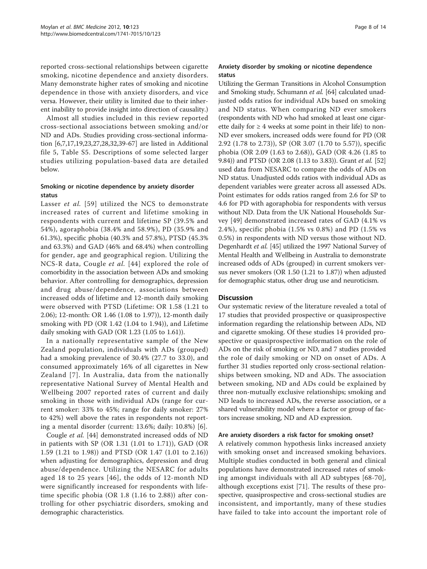reported cross-sectional relationships between cigarette smoking, nicotine dependence and anxiety disorders. Many demonstrate higher rates of smoking and nicotine dependence in those with anxiety disorders, and vice versa. However, their utility is limited due to their inherent inability to provide insight into direction of causality.)

Almost all studies included in this review reported cross-sectional associations between smoking and/or ND and ADs. Studies providing cross-sectional information [\[6](#page-11-0),[7](#page-11-0),[17](#page-11-0),[19](#page-11-0),[23](#page-11-0),[27](#page-11-0),[28](#page-11-0),[32,39](#page-12-0)-[67\]](#page-12-0) are listed in Additional file [5](#page-10-0), Table S5. Descriptions of some selected larger studies utilizing population-based data are detailed below.

#### Smoking or nicotine dependence by anxiety disorder status

Lasser et al. [[59](#page-12-0)] utilized the NCS to demonstrate increased rates of current and lifetime smoking in respondents with current and lifetime SP (39.5% and 54%), agoraphobia (38.4% and 58.9%), PD (35.9% and 61.3%), specific phobia (40.3% and 57.8%), PTSD (45.3% and 63.3%) and GAD (46% and 68.4%) when controlling for gender, age and geographical region. Utilizing the NCS-R data, Cougle et al. [[44](#page-12-0)] explored the role of comorbidity in the association between ADs and smoking behavior. After controlling for demographics, depression and drug abuse/dependence, associations between increased odds of lifetime and 12-month daily smoking were observed with PTSD (Lifetime: OR 1.58 (1.21 to 2.06); 12-month: OR 1.46 (1.08 to 1.97)), 12-month daily smoking with PD (OR 1.42 (1.04 to 1.94)), and Lifetime daily smoking with GAD (OR 1.23 (1.05 to 1.61)).

In a nationally representative sample of the New Zealand population, individuals with ADs (grouped) had a smoking prevalence of 30.4% (27.7 to 33.0), and consumed approximately 16% of all cigarettes in New Zealand [[7](#page-11-0)]. In Australia, data from the nationally representative National Survey of Mental Health and Wellbeing 2007 reported rates of current and daily smoking in those with individual ADs (range for current smoker: 33% to 45%; range for daily smoker: 27% to 42%) well above the rates in respondents not reporting a mental disorder (current: 13.6%; daily: 10.8%) [[6\]](#page-11-0).

Cougle et al. [\[44\]](#page-12-0) demonstrated increased odds of ND in patients with SP (OR 1.31 (1.01 to 1.71)), GAD (OR 1.59 (1.21 to 1.98)) and PTSD (OR 1.47 (1.01 to 2.16)) when adjusting for demographics, depression and drug abuse/dependence. Utilizing the NESARC for adults aged 18 to 25 years [[46](#page-12-0)], the odds of 12-month ND were significantly increased for respondents with lifetime specific phobia (OR 1.8 (1.16 to 2.88)) after controlling for other psychiatric disorders, smoking and demographic characteristics.

## Anxiety disorder by smoking or nicotine dependence status

Utilizing the German Transitions in Alcohol Consumption and Smoking study, Schumann et al. [\[64\]](#page-12-0) calculated unadjusted odds ratios for individual ADs based on smoking and ND status. When comparing ND ever smokers (respondents with ND who had smoked at least one cigarette daily for  $\geq 4$  weeks at some point in their life) to non-ND ever smokers, increased odds were found for PD (OR 2.92 (1.78 to 2.73)), SP (OR 3.07 (1.70 to 5.57)), specific phobia (OR 2.09 (1.63 to 2.68)), GAD (OR 4.26 (1.85 to 9.84)) and PTSD (OR 2.08 (1.13 to 3.83)). Grant et al. [[52](#page-12-0)] used data from NESARC to compare the odds of ADs on ND status. Unadjusted odds ratios with individual ADs as dependent variables were greater across all assessed ADs. Point estimates for odds ratios ranged from 2.6 for SP to 4.6 for PD with agoraphobia for respondents with versus without ND. Data from the UK National Households Survey [[49\]](#page-12-0) demonstrated increased rates of GAD (4.1% vs 2.4%), specific phobia (1.5% vs 0.8%) and PD (1.5% vs 0.5%) in respondents with ND versus those without ND. Degenhardt et al. [[45](#page-12-0)] utilized the 1997 National Survey of Mental Health and Wellbeing in Australia to demonstrate increased odds of ADs (grouped) in current smokers versus never smokers (OR 1.50 (1.21 to 1.87)) when adjusted for demographic status, other drug use and neuroticism.

#### **Discussion**

Our systematic review of the literature revealed a total of 17 studies that provided prospective or quasiprospective information regarding the relationship between ADs, ND and cigarette smoking. Of these studies 14 provided prospective or quasiprospective information on the role of ADs on the risk of smoking or ND, and 7 studies provided the role of daily smoking or ND on onset of ADs. A further 31 studies reported only cross-sectional relationships between smoking, ND and ADs. The association between smoking, ND and ADs could be explained by three non-mutually exclusive relationships; smoking and ND leads to increased ADs, the reverse association, or a shared vulnerability model where a factor or group of factors increase smoking, ND and AD expression.

#### Are anxiety disorders a risk factor for smoking onset?

A relatively common hypothesis links increased anxiety with smoking onset and increased smoking behaviors. Multiple studies conducted in both general and clinical populations have demonstrated increased rates of smoking amongst individuals with all AD subtypes [[68-70](#page-12-0)], although exceptions exist [\[71](#page-12-0)]. The results of these prospective, quasiprospective and cross-sectional studies are inconsistent, and importantly, many of these studies have failed to take into account the important role of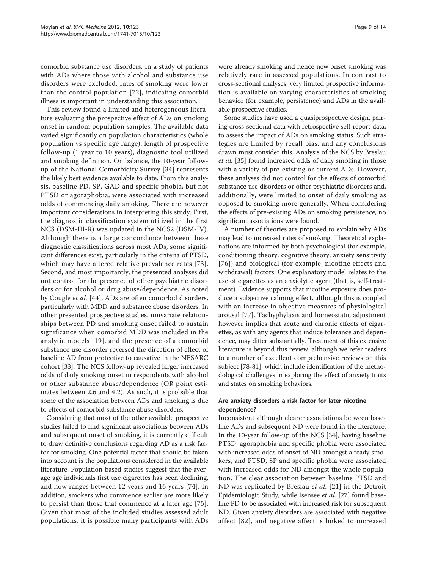comorbid substance use disorders. In a study of patients with ADs where those with alcohol and substance use disorders were excluded, rates of smoking were lower than the control population [[72](#page-12-0)], indicating comorbid illness is important in understanding this association.

This review found a limited and heterogeneous literature evaluating the prospective effect of ADs on smoking onset in random population samples. The available data varied significantly on population characteristics (whole population vs specific age range), length of prospective follow-up (1 year to 10 years), diagnostic tool utilized and smoking definition. On balance, the 10-year followup of the National Comorbidity Survey [[34](#page-12-0)] represents the likely best evidence available to date. From this analysis, baseline PD, SP, GAD and specific phobia, but not PTSD or agoraphobia, were associated with increased odds of commencing daily smoking. There are however important considerations in interpreting this study. First, the diagnostic classification system utilized in the first NCS (DSM-III-R) was updated in the NCS2 (DSM-IV). Although there is a large concordance between these diagnostic classifications across most ADs, some significant differences exist, particularly in the criteria of PTSD, which may have altered relative prevalence rates [[73\]](#page-12-0). Second, and most importantly, the presented analyses did not control for the presence of other psychiatric disorders or for alcohol or drug abuse/dependence. As noted by Cougle et al. [\[44](#page-12-0)], ADs are often comorbid disorders, particularly with MDD and substance abuse disorders. In other presented prospective studies, univariate relationships between PD and smoking onset failed to sustain significance when comorbid MDD was included in the analytic models [[19](#page-11-0)], and the presence of a comorbid substance use disorder reversed the direction of effect of baseline AD from protective to causative in the NESARC cohort [\[33](#page-12-0)]. The NCS follow-up revealed larger increased odds of daily smoking onset in respondents with alcohol or other substance abuse/dependence (OR point estimates between 2.6 and 4.2). As such, it is probable that some of the association between ADs and smoking is due to effects of comorbid substance abuse disorders.

Considering that most of the other available prospective studies failed to find significant associations between ADs and subsequent onset of smoking, it is currently difficult to draw definitive conclusions regarding AD as a risk factor for smoking. One potential factor that should be taken into account is the populations considered in the available literature. Population-based studies suggest that the average age individuals first use cigarettes has been declining, and now ranges between 12 years and 16 years [[74\]](#page-12-0). In addition, smokers who commence earlier are more likely to persist than those that commence at a later age [[75](#page-12-0)]. Given that most of the included studies assessed adult populations, it is possible many participants with ADs were already smoking and hence new onset smoking was relatively rare in assessed populations. In contrast to cross-sectional analyses, very limited prospective information is available on varying characteristics of smoking behavior (for example, persistence) and ADs in the available prospective studies.

Some studies have used a quasiprospective design, pairing cross-sectional data with retrospective self-report data, to assess the impact of ADs on smoking status. Such strategies are limited by recall bias, and any conclusions drawn must consider this. Analysis of the NCS by Breslau et al. [[35\]](#page-12-0) found increased odds of daily smoking in those with a variety of pre-existing or current ADs. However, these analyses did not control for the effects of comorbid substance use disorders or other psychiatric disorders and, additionally, were limited to onset of daily smoking as opposed to smoking more generally. When considering the effects of pre-existing ADs on smoking persistence, no significant associations were found.

A number of theories are proposed to explain why ADs may lead to increased rates of smoking. Theoretical explanations are informed by both psychological (for example, conditioning theory, cognitive theory, anxiety sensitivity [[76\]](#page-12-0)) and biological (for example, nicotine effects and withdrawal) factors. One explanatory model relates to the use of cigarettes as an anxiolytic agent (that is, self-treatment). Evidence supports that nicotine exposure does produce a subjective calming effect, although this is coupled with an increase in objective measures of physiological arousal [[77\]](#page-13-0). Tachyphylaxis and homeostatic adjustment however implies that acute and chronic effects of cigarettes, as with any agents that induce tolerance and dependence, may differ substantially. Treatment of this extensive literature is beyond this review, although we refer readers to a number of excellent comprehensive reviews on this subject [[78](#page-13-0)-[81](#page-13-0)], which include identification of the methodological challenges in exploring the effect of anxiety traits and states on smoking behaviors.

#### Are anxiety disorders a risk factor for later nicotine dependence?

Inconsistent although clearer associations between baseline ADs and subsequent ND were found in the literature. In the 10-year follow-up of the NCS [\[34](#page-12-0)], having baseline PTSD, agoraphobia and specific phobia were associated with increased odds of onset of ND amongst already smokers, and PTSD, SP and specific phobia were associated with increased odds for ND amongst the whole population. The clear association between baseline PTSD and ND was replicated by Breslau et al. [[21](#page-11-0)] in the Detroit Epidemiologic Study, while Isensee et al. [\[27](#page-11-0)] found baseline PD to be associated with increased risk for subsequent ND. Given anxiety disorders are associated with negative affect [[82\]](#page-13-0), and negative affect is linked to increased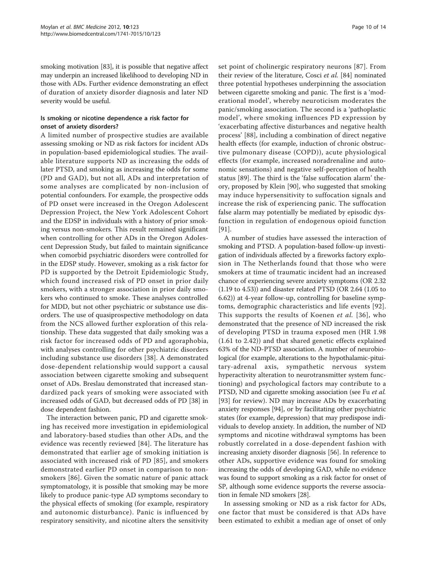smoking motivation [[83](#page-13-0)], it is possible that negative affect may underpin an increased likelihood to developing ND in those with ADs. Further evidence demonstrating an effect of duration of anxiety disorder diagnosis and later ND severity would be useful.

## Is smoking or nicotine dependence a risk factor for onset of anxiety disorders?

A limited number of prospective studies are available assessing smoking or ND as risk factors for incident ADs in population-based epidemiological studies. The available literature supports ND as increasing the odds of later PTSD, and smoking as increasing the odds for some (PD and GAD), but not all, ADs and interpretation of some analyses are complicated by non-inclusion of potential confounders. For example, the prospective odds of PD onset were increased in the Oregon Adolescent Depression Project, the New York Adolescent Cohort and the EDSP in individuals with a history of prior smoking versus non-smokers. This result remained significant when controlling for other ADs in the Oregon Adolescent Depression Study, but failed to maintain significance when comorbid psychiatric disorders were controlled for in the EDSP study. However, smoking as a risk factor for PD is supported by the Detroit Epidemiologic Study, which found increased risk of PD onset in prior daily smokers, with a stronger association in prior daily smokers who continued to smoke. These analyses controlled for MDD, but not other psychiatric or substance use disorders. The use of quasiprospective methodology on data from the NCS allowed further exploration of this relationship. These data suggested that daily smoking was a risk factor for increased odds of PD and agoraphobia, with analyses controlling for other psychiatric disorders including substance use disorders [\[38\]](#page-12-0). A demonstrated dose-dependent relationship would support a causal association between cigarette smoking and subsequent onset of ADs. Breslau demonstrated that increased standardized pack years of smoking were associated with increased odds of GAD, but decreased odds of PD [[38\]](#page-12-0) in dose dependent fashion.

The interaction between panic, PD and cigarette smoking has received more investigation in epidemiological and laboratory-based studies than other ADs, and the evidence was recently reviewed [[84\]](#page-13-0). The literature has demonstrated that earlier age of smoking initiation is associated with increased risk of PD [[85\]](#page-13-0), and smokers demonstrated earlier PD onset in comparison to nonsmokers [\[86](#page-13-0)]. Given the somatic nature of panic attack symptomatology, it is possible that smoking may be more likely to produce panic-type AD symptoms secondary to the physical effects of smoking (for example, respiratory and autonomic disturbance). Panic is influenced by respiratory sensitivity, and nicotine alters the sensitivity set point of cholinergic respiratory neurons [[87](#page-13-0)]. From their review of the literature, Cosci et al. [\[84](#page-13-0)] nominated three potential hypotheses underpinning the association between cigarette smoking and panic. The first is a 'moderational model', whereby neuroticism moderates the panic/smoking association. The second is a 'pathoplastic model', where smoking influences PD expression by 'exacerbating affective disturbances and negative health process' [[88\]](#page-13-0), including a combination of direct negative health effects (for example, induction of chronic obstructive pulmonary disease (COPD)), acute physiological effects (for example, increased noradrenaline and autonomic sensations) and negative self-perception of health status [[89\]](#page-13-0). The third is the 'false suffocation alarm' theory, proposed by Klein [[90\]](#page-13-0), who suggested that smoking may induce hypersensitivity to suffocation signals and increase the risk of experiencing panic. The suffocation false alarm may potentially be mediated by episodic dysfunction in regulation of endogenous opioid function [[91\]](#page-13-0).

A number of studies have assessed the interaction of smoking and PTSD. A population-based follow-up investigation of individuals affected by a fireworks factory explosion in The Netherlands found that those who were smokers at time of traumatic incident had an increased chance of experiencing severe anxiety symptoms (OR 2.32 (1.19 to 4.53)) and disaster related PTSD (OR 2.64 (1.05 to 6.62)) at 4-year follow-up, controlling for baseline symptoms, demographic characteristics and life events [[92](#page-13-0)]. This supports the results of Koenen et al. [[36\]](#page-12-0), who demonstrated that the presence of ND increased the risk of developing PTSD in trauma exposed men (HR 1.98 (1.61 to 2.42)) and that shared genetic effects explained 63% of the ND-PTSD association. A number of neurobiological (for example, alterations to the hypothalamic-pituitary-adrenal axis, sympathetic nervous system hyperactivity alteration to neurotransmitter system functioning) and psychological factors may contribute to a PTSD, ND and cigarette smoking association (see Fu *et al.*) [[93](#page-13-0)] for review). ND may increase ADs by exacerbating anxiety responses [\[94](#page-13-0)], or by facilitating other psychiatric states (for example, depression) that may predispose individuals to develop anxiety. In addition, the number of ND symptoms and nicotine withdrawal symptoms has been robustly correlated in a dose-dependent fashion with increasing anxiety disorder diagnosis [\[56](#page-12-0)]. In reference to other ADs, supportive evidence was found for smoking increasing the odds of developing GAD, while no evidence was found to support smoking as a risk factor for onset of SP, although some evidence supports the reverse association in female ND smokers [\[28](#page-11-0)].

In assessing smoking or ND as a risk factor for ADs, one factor that must be considered is that ADs have been estimated to exhibit a median age of onset of only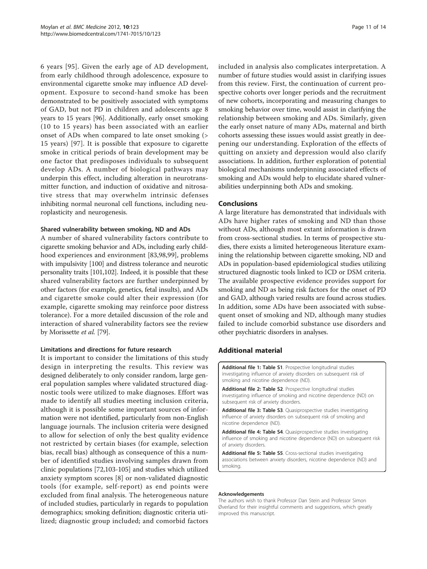<span id="page-10-0"></span>6 years [\[95\]](#page-13-0). Given the early age of AD development, from early childhood through adolescence, exposure to environmental cigarette smoke may influence AD development. Exposure to second-hand smoke has been demonstrated to be positively associated with symptoms of GAD, but not PD in children and adolescents age 8 years to 15 years [[96\]](#page-13-0). Additionally, early onset smoking (10 to 15 years) has been associated with an earlier onset of ADs when compared to late onset smoking (> 15 years) [\[97](#page-13-0)]. It is possible that exposure to cigarette smoke in critical periods of brain development may be one factor that predisposes individuals to subsequent develop ADs. A number of biological pathways may underpin this effect, including alteration in neurotransmitter function, and induction of oxidative and nitrosative stress that may overwhelm intrinsic defenses inhibiting normal neuronal cell functions, including neuroplasticity and neurogenesis.

#### Shared vulnerability between smoking, ND and ADs

A number of shared vulnerability factors contribute to cigarette smoking behavior and ADs, including early childhood experiences and environment [\[83,98](#page-13-0),[99\]](#page-13-0), problems with impulsivity [[100](#page-13-0)] and distress tolerance and neurotic personality traits [\[101,102\]](#page-13-0). Indeed, it is possible that these shared vulnerability factors are further underpinned by other factors (for example, genetics, fetal insults), and ADs and cigarette smoke could alter their expression (for example, cigarette smoking may reinforce poor distress tolerance). For a more detailed discussion of the role and interaction of shared vulnerability factors see the review by Morissette et al. [[79](#page-13-0)].

#### Limitations and directions for future research

It is important to consider the limitations of this study design in interpreting the results. This review was designed deliberately to only consider random, large general population samples where validated structured diagnostic tools were utilized to make diagnoses. Effort was made to identify all studies meeting inclusion criteria, although it is possible some important sources of information were not identified, particularly from non-English language journals. The inclusion criteria were designed to allow for selection of only the best quality evidence not restricted by certain biases (for example, selection bias, recall bias) although as consequence of this a number of identified studies involving samples drawn from clinic populations [[72](#page-12-0)[,103](#page-13-0)-[105](#page-13-0)] and studies which utilized anxiety symptom scores [[8](#page-11-0)] or non-validated diagnostic tools (for example, self-report) as end points were excluded from final analysis. The heterogeneous nature of included studies, particularly in regards to population demographics; smoking definition; diagnostic criteria utilized; diagnostic group included; and comorbid factors included in analysis also complicates interpretation. A number of future studies would assist in clarifying issues from this review. First, the continuation of current prospective cohorts over longer periods and the recruitment of new cohorts, incorporating and measuring changes to smoking behavior over time, would assist in clarifying the relationship between smoking and ADs. Similarly, given the early onset nature of many ADs, maternal and birth cohorts assessing these issues would assist greatly in deepening our understanding. Exploration of the effects of quitting on anxiety and depression would also clarify associations. In addition, further exploration of potential biological mechanisms underpinning associated effects of smoking and ADs would help to elucidate shared vulnerabilities underpinning both ADs and smoking.

#### Conclusions

A large literature has demonstrated that individuals with ADs have higher rates of smoking and ND than those without ADs, although most extant information is drawn from cross-sectional studies. In terms of prospective studies, there exists a limited heterogeneous literature examining the relationship between cigarette smoking, ND and ADs in population-based epidemiological studies utilizing structured diagnostic tools linked to ICD or DSM criteria. The available prospective evidence provides support for smoking and ND as being risk factors for the onset of PD and GAD, although varied results are found across studies. In addition, some ADs have been associated with subsequent onset of smoking and ND, although many studies failed to include comorbid substance use disorders and other psychiatric disorders in analyses.

#### Additional material

[Additional file 1: T](http://www.biomedcentral.com/content/supplementary/1741-7015-10-123-S1.XLSX)able S1. Prospective longitudinal studies investigating influence of anxiety disorders on subsequent risk of smoking and nicotine dependence (ND).

[Additional file 2: T](http://www.biomedcentral.com/content/supplementary/1741-7015-10-123-S2.XLSX)able S2. Prospective longitudinal studies investigating influence of smoking and nicotine dependence (ND) on subsequent risk of anxiety disorders.

[Additional file 3: T](http://www.biomedcentral.com/content/supplementary/1741-7015-10-123-S3.XLSX)able S3. Quasiprospective studies investigating influence of anxiety disorders on subsequent risk of smoking and nicotine dependence (ND).

[Additional file 4: T](http://www.biomedcentral.com/content/supplementary/1741-7015-10-123-S4.XLSX)able S4. Quasiprospective studies investigating influence of smoking and nicotine dependence (ND) on subsequent risk of anxiety disorders.

[Additional file 5: T](http://www.biomedcentral.com/content/supplementary/1741-7015-10-123-S5.XLSX)able S5. Cross-sectional studies investigating associations between anxiety disorders, nicotine dependence (ND) and smoking.

#### Acknowledgements

The authors wish to thank Professor Dan Stein and Professor Simon Øverland for their insightful comments and suggestions, which greatly improved this manuscript.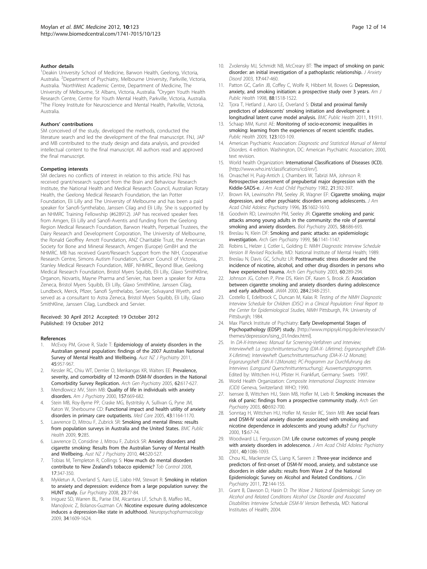#### <span id="page-11-0"></span>Author details

<sup>1</sup>Deakin University School of Medicine, Barwon Health, Geelong, Victoria, Australia. <sup>2</sup>Department of Psychiatry, Melbourne University, Parkville, Victoria, Australia. <sup>3</sup>NorthWest Academic Centre, Department of Medicine, The University of Melbourne, St Albans, Victoria, Australia. <sup>4</sup>Orygen Youth Health Research Centre, Centre for Youth Mental Health, Parkville, Victoria, Australia. 5 The Florey Institute for Neuroscience and Mental Health, Parkville, Victoria, Australia.

#### Authors' contributions

SM conceived of the study, developed the methods, conducted the literature search and led the development of the final manuscript. FNJ, JAP and MB contributed to the study design and data analysis, and provided intellectual content to the final manuscript. All authors read and approved the final manuscript.

#### Competing interests

SM declares no conflicts of interest in relation to this article. FNJ has received grant/research support from the Brain and Behaviour Research Institute, the National Health and Medical Research Council, Australian Rotary Health, the Geelong Medical Research Foundation, the Ian Potter Foundation, Eli Lilly and The University of Melbourne and has been a paid speaker for Sanofi-Synthelabo, Janssen Cilag and Eli Lilly. She is supported by an NHMRC Training Fellowship (#628912). JAP has received speaker fees from Amgen, Eli Lilly and Sanofi-Aventis and funding from the Geelong Region Medical Research Foundation, Barwon Health, Perpetual Trustees, the Dairy Research and Development Corporation, The University of Melbourne, the Ronald Geoffrey Arnott Foundation, ANZ Charitable Trust, the American Society for Bone and Mineral Research, Amgen (Europe) GmBH and the NHMRC. MB has received Grant/Research Support from the NIH, Cooperative Research Centre, Simons Autism Foundation, Cancer Council of Victoria, Stanley Medical Research Foundation, MBF, NHMRC, Beyond Blue, Geelong Medical Research Foundation, Bristol Myers Squibb, Eli Lilly, Glaxo SmithKline, Organon, Novartis, Mayne Pharma and Servier, has been a speaker for Astra Zeneca, Bristol Myers Squibb, Eli Lilly, Glaxo SmithKline, Janssen Cilag, Lundbeck, Merck, Pfizer, Sanofi Synthelabo, Servier, Solvayand Wyeth, and served as a consultant to Astra Zeneca, Bristol Myers Squibb, Eli Lilly, Glaxo SmithKline, Janssen Cilag, Lundbeck and Servier.

#### Received: 30 April 2012 Accepted: 19 October 2012 Published: 19 October 2012

#### References

- McEvoy PM, Grove R, Slade T: Epidemiology of anxiety disorders in the Australian general population: findings of the 2007 Australian National Survey of Mental Health and Wellbeing. Aust NZ J Psychiatry 2011, 45:957-967.
- 2. Kessler RC, Chiu WT, Demler O, Merikangas KR, Walters EE: [Prevalence,](http://www.ncbi.nlm.nih.gov/pubmed/15939839?dopt=Abstract) [severity, and comorbidity of 12-month DSM-IV disorders in the National](http://www.ncbi.nlm.nih.gov/pubmed/15939839?dopt=Abstract) [Comorbidity Survey Replication.](http://www.ncbi.nlm.nih.gov/pubmed/15939839?dopt=Abstract) Arch Gen Psychiatry 2005, 62:617-627.
- Mendlowicz MV, Stein MB: [Quality of life in individuals with anxiety](http://www.ncbi.nlm.nih.gov/pubmed/10784456?dopt=Abstract) [disorders.](http://www.ncbi.nlm.nih.gov/pubmed/10784456?dopt=Abstract) Am J Psychiatry 2000, 157:669-682.
- 4. Stein MB, Roy-Byrne PP, Craske MG, Bystritsky A, Sullivan G, Pyne JM, Katon W, Sherbourne CD: [Functional impact and health utility of anxiety](http://www.ncbi.nlm.nih.gov/pubmed/16299426?dopt=Abstract) [disorders in primary care outpatients.](http://www.ncbi.nlm.nih.gov/pubmed/16299426?dopt=Abstract) Med Care 2005, 43:1164-1170.
- 5. Lawrence D, Mitrou F, Zubrick SR: [Smoking and mental illness: results](http://www.ncbi.nlm.nih.gov/pubmed/19664203?dopt=Abstract) [from population surveys in Australia and the United States.](http://www.ncbi.nlm.nih.gov/pubmed/19664203?dopt=Abstract) BMC Public Health 2009, 9:285.
- 6. Lawrence D, Considine J, Mitrou F, Zubrick SR: Anxiety disorders and cigarette smoking: Results from the Australian Survey of Mental Health and Wellbeing. Aust NZ J Psychiatry 2010, 44:520-527.
- 7. Tobias M, Templeton R, Collings S: [How much do mental disorders](http://www.ncbi.nlm.nih.gov/pubmed/18669558?dopt=Abstract) [contribute to New Zealand](http://www.ncbi.nlm.nih.gov/pubmed/18669558?dopt=Abstract)'s tobacco epidemic? Tob Control 2008, 17:347-350.
- Mykletun A, Overland S, Aaro LE, Liabo HM, Stewart R: [Smoking in relation](http://www.ncbi.nlm.nih.gov/pubmed/18082377?dopt=Abstract) [to anxiety and depression: evidence from a large population survey: the](http://www.ncbi.nlm.nih.gov/pubmed/18082377?dopt=Abstract) [HUNT study.](http://www.ncbi.nlm.nih.gov/pubmed/18082377?dopt=Abstract) Eur Psychiatry 2008, 23:77-84.
- Iniquez SD, Warren BL, Parise EM, Alcantara LF, Schuh B, Maffeo ML, Manojlovic Z, Bolanos-Guzman CA: [Nicotine exposure during adolescence](http://www.ncbi.nlm.nih.gov/pubmed/19092782?dopt=Abstract) [induces a depression-like state in adulthood.](http://www.ncbi.nlm.nih.gov/pubmed/19092782?dopt=Abstract) Neuropsychopharmacology 2009, 34:1609-1624.
- 10. Zvolensky MJ, Schmidt NB, McCreary BT: [The impact of smoking on panic](http://www.ncbi.nlm.nih.gov/pubmed/12826091?dopt=Abstract) [disorder: an initial investigation of a pathoplastic relationship.](http://www.ncbi.nlm.nih.gov/pubmed/12826091?dopt=Abstract) J Anxiety Disord 2003, 17:447-460.
- 11. Patton GC, Carlin JB, Coffey C, Wolfe R, Hibbert M, Bowes G: [Depression,](http://www.ncbi.nlm.nih.gov/pubmed/9772855?dopt=Abstract) [anxiety, and smoking initiation: a prospective study over 3 years.](http://www.ncbi.nlm.nih.gov/pubmed/9772855?dopt=Abstract) Am J Public Health 1998, 88:1518-1522.
- 12. Tjora T, Hetland J, Aaro LE, Overland S: [Distal and proximal family](http://www.ncbi.nlm.nih.gov/pubmed/22152017?dopt=Abstract) predictors of adolescents' [smoking initiation and development: a](http://www.ncbi.nlm.nih.gov/pubmed/22152017?dopt=Abstract) [longitudinal latent curve model analysis.](http://www.ncbi.nlm.nih.gov/pubmed/22152017?dopt=Abstract) BMC Public Health 2011, 11:911.
- 13. Schaap MM, Kunst AE: [Monitoring of socio-economic inequalities in](http://www.ncbi.nlm.nih.gov/pubmed/19147163?dopt=Abstract) [smoking: learning from the experiences of recent scientific studies.](http://www.ncbi.nlm.nih.gov/pubmed/19147163?dopt=Abstract) Public Health 2009, 123:103-109.
- 14. American Psychiatric Association: Diagnostic and Statistical Manual of Mental Disorders. 4 edition. Washington, DC: American Psychiatric Association; 2000, text revision.
- 15. World health Organization: International Classifications of Diseases (ICD). [<http://www.who.int/classifications/icd/en/>].
- 16. Orvaschel H, Puig-Antich J, Chambers W, Tabrizi MA, Johnson R: [Retrospective assessment of prepubertal major depression with the](http://www.ncbi.nlm.nih.gov/pubmed/7119313?dopt=Abstract) [Kiddie-SADS-e.](http://www.ncbi.nlm.nih.gov/pubmed/7119313?dopt=Abstract) J Am Acad Child Psychiatry 1982, 21:392-397.
- 17. Brown RA, Lewinsohn PM, Seeley JR, Wagner EF: [Cigarette smoking, major](http://www.ncbi.nlm.nih.gov/pubmed/8973066?dopt=Abstract) [depression, and other psychiatric disorders among adolescents.](http://www.ncbi.nlm.nih.gov/pubmed/8973066?dopt=Abstract) J Am Acad Child Adolesc Psychiatry 1996, 35:1602-1610.
- 18. Goodwin RD, Lewinsohn PM, Seeley JR: [Cigarette smoking and panic](http://www.ncbi.nlm.nih.gov/pubmed/16018987?dopt=Abstract) [attacks among young adults in the community: the role of parental](http://www.ncbi.nlm.nih.gov/pubmed/16018987?dopt=Abstract) [smoking and anxiety disorders.](http://www.ncbi.nlm.nih.gov/pubmed/16018987?dopt=Abstract) Biol Psychiatry 2005, 58:686-693.
- 19. Breslau N, Klein DF: [Smoking and panic attacks: an epidemiologic](http://www.ncbi.nlm.nih.gov/pubmed/10591292?dopt=Abstract) [investigation.](http://www.ncbi.nlm.nih.gov/pubmed/10591292?dopt=Abstract) Arch Gen Psychiatry 1999, 56:1141-1147.
- 20. Robins L, Helzer J, Cotler L, Golding E: NIMH Diagnostic Interview Schedule Version III Revised Rockville, MD: National Institute of Mental Health; 1989.
- 21. Breslau N, Davis GC, Schultz LR: [Posttraumatic stress disorder and the](http://www.ncbi.nlm.nih.gov/pubmed/12622662?dopt=Abstract) [incidence of nicotine, alcohol, and other drug disorders in persons who](http://www.ncbi.nlm.nih.gov/pubmed/12622662?dopt=Abstract) [have experienced trauma.](http://www.ncbi.nlm.nih.gov/pubmed/12622662?dopt=Abstract) Arch Gen Psychiatry 2003, 60:289-294.
- 22. Johnson JG, Cohen P, Pine DS, Klein DF, Kasen S, Brook JS: [Association](http://www.ncbi.nlm.nih.gov/pubmed/11066185?dopt=Abstract) [between cigarette smoking and anxiety disorders during adolescence](http://www.ncbi.nlm.nih.gov/pubmed/11066185?dopt=Abstract) [and early adulthood.](http://www.ncbi.nlm.nih.gov/pubmed/11066185?dopt=Abstract) JAMA 2000, 284:2348-2351.
- 23. Costello E, Edelbrock C, Duncan M, Kalas R: Testing of the NIMH Diagnostic Interview Schedule for Children (DISC) in a Clinical Population: Final Report to the Center for Epidemiological Studies, NIMH Pittsburgh, PA: University of Pittsburgh; 1984.
- 24. Max Planck Institute of Psychiatry: Early Developmental Stages of Psychopathology (EDSP) study. [[http://www.mpipsykl.mpg.de/en/research/](http://www.mpipsykl.mpg.de/en/research/themes/depression/ising_01/index.html) [themes/depression/ising\\_01/index.html](http://www.mpipsykl.mpg.de/en/research/themes/depression/ising_01/index.html)].
- 25. In DA-X-Interviews: Manual fur Screening-Verfahren und Interview; Interviewheft La ngsschnittuntersuchung (DIA-X- Lifetime); Erganzungsheft (DIA-X-Lifetime); Interviewheft Querschnittuntersuchung (DIA-X-12 Monate); Erganzungsheft (DIA-X-12Monate); PC-Programm zur Durchfuhrung des Interviews (Langsund Querschnittuntersuchung); Auswertungsprogramm. Edited by: Wittchen H-U, Pfister H. Frankfurt, Germany: Swets 1997.
- 26. World Health Organization: Composite International Diagnostic Interview (CIDI) Geneva, Switzerland: WHO; 1990.
- 27. Isensee B, Wittchen HU, Stein MB, Hofler M, Lieb R: [Smoking increases the](http://www.ncbi.nlm.nih.gov/pubmed/12860773?dopt=Abstract) [risk of panic: findings from a prospective community study.](http://www.ncbi.nlm.nih.gov/pubmed/12860773?dopt=Abstract) Arch Gen Psychiatry 2003, 60:692-700.
- 28. Sonntag H, Wittchen HU, Hofler M, Kessler RC, Stein MB: [Are social fears](http://www.ncbi.nlm.nih.gov/pubmed/10713804?dopt=Abstract) [and DSM-IV social anxiety disorder associated with smoking and](http://www.ncbi.nlm.nih.gov/pubmed/10713804?dopt=Abstract) [nicotine dependence in adolescents and young adults?](http://www.ncbi.nlm.nih.gov/pubmed/10713804?dopt=Abstract) Eur Psychiatry 2000, 15:67-74.
- 29. Woodward LJ, Fergusson DM: [Life course outcomes of young people](http://www.ncbi.nlm.nih.gov/pubmed/11556633?dopt=Abstract) [with anxiety disorders in adolescence.](http://www.ncbi.nlm.nih.gov/pubmed/11556633?dopt=Abstract) J Am Acad Child Adolesc Psychiatry 2001, 40:1086-1093.
- 30. Chou KL, Mackenzie CS, Liang K, Sareen J: [Three-year incidence and](http://www.ncbi.nlm.nih.gov/pubmed/21382305?dopt=Abstract) [predictors of first-onset of DSM-IV mood, anxiety, and substance use](http://www.ncbi.nlm.nih.gov/pubmed/21382305?dopt=Abstract) [disorders in older adults: results from Wave 2 of the National](http://www.ncbi.nlm.nih.gov/pubmed/21382305?dopt=Abstract) [Epidemiologic Survey on Alcohol and Related Conditions.](http://www.ncbi.nlm.nih.gov/pubmed/21382305?dopt=Abstract) J Clin Psychiatry 2011, 72:144-155.
- 31. Grant B, Dawson D, Hasin D: The Wave 2 National Epidemiologic Survey on Alcohol and Related Conditions Alcohol Use Disorder and Associated Disabilities Interview Schedule DSM-IV Version Bethesda, MD: National Institutes of Health; 2004.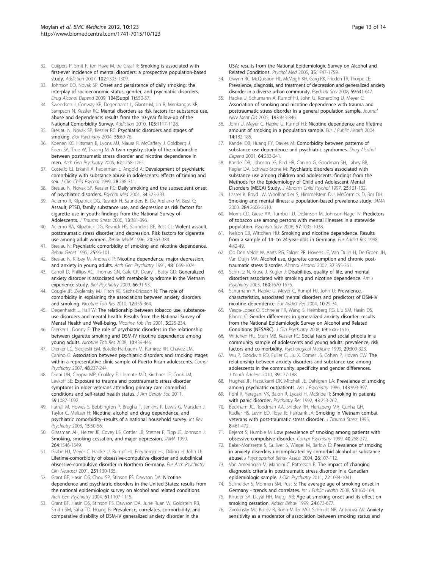- <span id="page-12-0"></span>32. Cuijpers P, Smit F, ten Have M, de Graaf R: [Smoking is associated with](http://www.ncbi.nlm.nih.gov/pubmed/17624980?dopt=Abstract) [first-ever incidence of mental disorders: a prospective population-based](http://www.ncbi.nlm.nih.gov/pubmed/17624980?dopt=Abstract) [study.](http://www.ncbi.nlm.nih.gov/pubmed/17624980?dopt=Abstract) Addiction 2007, 102:1303-1309.
- 33. Johnson EO, Novak SP: [Onset and persistence of daily smoking: the](http://www.ncbi.nlm.nih.gov/pubmed/19487086?dopt=Abstract) [interplay of socioeconomic status, gender, and psychiatric disorders.](http://www.ncbi.nlm.nih.gov/pubmed/19487086?dopt=Abstract) Drug Alcohol Depend 2009, 104(Suppl 1):S50-57.
- 34. Swendsen J, Conway KP, Degenhardt L, Glantz M, Jin R, Merikangas KR, Sampson N, Kessler RC: [Mental disorders as risk factors for substance use,](http://www.ncbi.nlm.nih.gov/pubmed/20331554?dopt=Abstract) [abuse and dependence: results from the 10-year follow-up of the](http://www.ncbi.nlm.nih.gov/pubmed/20331554?dopt=Abstract) [National Comorbidity Survey.](http://www.ncbi.nlm.nih.gov/pubmed/20331554?dopt=Abstract) Addiction 2010, 105:1117-1128.
- 35. Breslau N, Novak SP, Kessler RC: [Psychiatric disorders and stages of](http://www.ncbi.nlm.nih.gov/pubmed/14706427?dopt=Abstract) [smoking.](http://www.ncbi.nlm.nih.gov/pubmed/14706427?dopt=Abstract) Biol Psychiatry 2004, 55:69-76.
- 36. Koenen KC, Hitsman B, Lyons MJ, Niaura R, McCaffery J, Goldberg J, Eisen SA, True W, Tsuang M: [A twin registry study of the relationship](http://www.ncbi.nlm.nih.gov/pubmed/16275813?dopt=Abstract) [between posttraumatic stress disorder and nicotine dependence in](http://www.ncbi.nlm.nih.gov/pubmed/16275813?dopt=Abstract) [men.](http://www.ncbi.nlm.nih.gov/pubmed/16275813?dopt=Abstract) Arch Gen Psychiatry 2005, 62:1258-1265.
- 37. Costello EJ, Erkanli A, Federman E, Angold A: [Development of psychiatric](http://www.ncbi.nlm.nih.gov/pubmed/10446679?dopt=Abstract) [comorbidity with substance abuse in adolescents: effects of timing and](http://www.ncbi.nlm.nih.gov/pubmed/10446679?dopt=Abstract) [sex.](http://www.ncbi.nlm.nih.gov/pubmed/10446679?dopt=Abstract) J Clin Child Psychol 1999, 28:298-311.
- 38. Breslau N, Novak SP, Kessler RC: [Daily smoking and the subsequent onset](http://www.ncbi.nlm.nih.gov/pubmed/14982138?dopt=Abstract) [of psychiatric disorders.](http://www.ncbi.nlm.nih.gov/pubmed/14982138?dopt=Abstract) Psychol Med 2004, 34:323-333.
- 39. Acierno R, Kilpatrick DG, Resnick H, Saunders B, De Arellano M, Best C: [Assault, PTSD, family substance use, and depression as risk factors for](http://www.ncbi.nlm.nih.gov/pubmed/10948480?dopt=Abstract) [cigarette use in youth: findings from the National Survey of](http://www.ncbi.nlm.nih.gov/pubmed/10948480?dopt=Abstract) [Adolescents.](http://www.ncbi.nlm.nih.gov/pubmed/10948480?dopt=Abstract) J Trauma Stress 2000, 13:381-396.
- 40. Acierno RA, Kilpatrick DG, Resnick HS, Saunders BE, Best CL: [Violent assault,](http://www.ncbi.nlm.nih.gov/pubmed/8875812?dopt=Abstract) [posttraumatic stress disorder, and depression. Risk factors for cigarette](http://www.ncbi.nlm.nih.gov/pubmed/8875812?dopt=Abstract) [use among adult women.](http://www.ncbi.nlm.nih.gov/pubmed/8875812?dopt=Abstract) Behav Modif 1996, 20:363-384.
- 41. Breslau N: [Psychiatric comorbidity of smoking and nicotine dependence.](http://www.ncbi.nlm.nih.gov/pubmed/7733862?dopt=Abstract) Behav Genet 1995, 25:95-101.
- 42. Breslau N, Kilbey M, Andreski P: [Nicotine dependence, major depression,](http://www.ncbi.nlm.nih.gov/pubmed/1845224?dopt=Abstract) [and anxiety in young adults.](http://www.ncbi.nlm.nih.gov/pubmed/1845224?dopt=Abstract) Arch Gen Psychiatry 1991, 48:1069-1074.
- 43. Carroll D, Phillips AC, Thomas GN, Gale CR, Deary I, Batty GD: [Generalized](http://www.ncbi.nlm.nih.gov/pubmed/19344891?dopt=Abstract) [anxiety disorder is associated with metabolic syndrome in the Vietnam](http://www.ncbi.nlm.nih.gov/pubmed/19344891?dopt=Abstract) [experience study.](http://www.ncbi.nlm.nih.gov/pubmed/19344891?dopt=Abstract) Biol Psychiatry 2009, 66:91-93.
- 44. Cougle JR, Zvolensky MJ, Fitch KE, Sachs-Ericsson N: [The role of](http://www.ncbi.nlm.nih.gov/pubmed/20156885?dopt=Abstract) [comorbidity in explaining the associations between anxiety disorders](http://www.ncbi.nlm.nih.gov/pubmed/20156885?dopt=Abstract) [and smoking.](http://www.ncbi.nlm.nih.gov/pubmed/20156885?dopt=Abstract) Nicotine Tob Res 2010, 12:355-364.
- 45. Degenhardt L, Hall W: [The relationship between tobacco use, substance](http://www.ncbi.nlm.nih.gov/pubmed/11506766?dopt=Abstract)[use disorders and mental health: Results from the National Survey of](http://www.ncbi.nlm.nih.gov/pubmed/11506766?dopt=Abstract) [Mental Health and Well-being.](http://www.ncbi.nlm.nih.gov/pubmed/11506766?dopt=Abstract) Nicotine Tob Res 2001, 3:225-234.
- 46. Dierker L, Donny E: The [role of psychiatric disorders in the relationship](http://www.ncbi.nlm.nih.gov/pubmed/18324562?dopt=Abstract) [between cigarette smoking and DSM-IV nicotine dependence among](http://www.ncbi.nlm.nih.gov/pubmed/18324562?dopt=Abstract) [young adults.](http://www.ncbi.nlm.nih.gov/pubmed/18324562?dopt=Abstract) Nicotine Tob Res 2008, 10:439-446.
- 47. Dierker LC, Sledjeski EM, Botello-Harbaum M, Ramirez RR, Chavez LM, Canino G: [Association between psychiatric disorders and smoking stages](http://www.ncbi.nlm.nih.gov/pubmed/17445517?dopt=Abstract) [within a representative clinic sample of Puerto Rican adolescents.](http://www.ncbi.nlm.nih.gov/pubmed/17445517?dopt=Abstract) Compr Psychiatry 2007, 48:237-244.
- 48. Durai UN, Chopra MP, Coakley E, Llorente MD, Kirchner JE, Cook JM, Levkoff SE: [Exposure to trauma and posttraumatic stress disorder](http://www.ncbi.nlm.nih.gov/pubmed/21649614?dopt=Abstract) [symptoms in older veterans attending primary care: comorbid](http://www.ncbi.nlm.nih.gov/pubmed/21649614?dopt=Abstract) [conditions and self-rated health status.](http://www.ncbi.nlm.nih.gov/pubmed/21649614?dopt=Abstract) J Am Geriatr Soc 2011, 59:1087-1092.
- 49. Farrell M, Howes S, Bebbington P, Brugha T, Jenkins R, Lewis G, Marsden J, Taylor C, Meltzer H: [Nicotine, alcohol and drug dependence, and](http://www.ncbi.nlm.nih.gov/pubmed/12745310?dopt=Abstract) psychiatric comorbidity–[results of a national household survey.](http://www.ncbi.nlm.nih.gov/pubmed/12745310?dopt=Abstract) Int Rev Psychiatry 2003, 15:50-56.
- 50. Glassman AH, Helzer JE, Covey LS, Cottler LB, Stetner F, Tipp JE, Johnson J: [Smoking, smoking cessation, and major depression.](http://www.ncbi.nlm.nih.gov/pubmed/2395194?dopt=Abstract) JAMA 1990, 264:1546-1549.
- 51. Grabe HJ, Meyer C, Hapke U, Rumpf HJ, Freyberger HJ, Dilling H, John U: [Lifetime-comorbidity of obsessive-compulsive disorder and subclinical](http://www.ncbi.nlm.nih.gov/pubmed/11697574?dopt=Abstract) [obsessive-compulsive disorder in Northern Germany.](http://www.ncbi.nlm.nih.gov/pubmed/11697574?dopt=Abstract) Eur Arch Psychiatry Clin Neurosci 2001, 251:130-135.
- 52. Grant BF, Hasin DS, Chou SP, Stinson FS, Dawson DA: [Nicotine](http://www.ncbi.nlm.nih.gov/pubmed/15520358?dopt=Abstract) [dependence and psychiatric disorders in the United States: results from](http://www.ncbi.nlm.nih.gov/pubmed/15520358?dopt=Abstract) [the national epidemiologic survey on alcohol and related conditions.](http://www.ncbi.nlm.nih.gov/pubmed/15520358?dopt=Abstract) Arch Gen Psychiatry 2004, 61:1107-1115.
- 53. Grant BF, Hasin DS, Stinson FS, Dawson DA, June Ruan W, Goldstein RB, Smith SM, Saha TD, Huang B: [Prevalence, correlates, co-morbidity, and](http://www.ncbi.nlm.nih.gov/pubmed/16202187?dopt=Abstract) [comparative disability of DSM-IV generalized anxiety disorder in the](http://www.ncbi.nlm.nih.gov/pubmed/16202187?dopt=Abstract)

[USA: results from the National Epidemiologic Survey on Alcohol and](http://www.ncbi.nlm.nih.gov/pubmed/16202187?dopt=Abstract) [Related Conditions.](http://www.ncbi.nlm.nih.gov/pubmed/16202187?dopt=Abstract) Psychol Med 2005, 35:1747-1759.

- 54. Gwynn RC, McQuistion HL, McVeigh KH, Garg RK, Frieden TR, Thorpe LE: [Prevalence, diagnosis, and treatment of depression and generalized anxiety](http://www.ncbi.nlm.nih.gov/pubmed/18511584?dopt=Abstract) [disorder in a diverse urban community.](http://www.ncbi.nlm.nih.gov/pubmed/18511584?dopt=Abstract) Psychiatr Serv 2008, 59:641-647.
- 55. Hapke U, Schumann A, Rumpf HJ, John U, Konerding U, Meyer C: Association of smoking and nicotine dependence with trauma and posttraumatic stress disorder in a general population sample. Journal Nerv Ment Dis 2005, 193:843-846.
- 56. John U, Meyer C, Hapke U, Rumpf HJ: [Nicotine dependence and lifetime](http://www.ncbi.nlm.nih.gov/pubmed/15230506?dopt=Abstract) [amount of smoking in a population sample.](http://www.ncbi.nlm.nih.gov/pubmed/15230506?dopt=Abstract) Eur J Public Health 2004, 14:182-185.
- 57. Kandel DB, Huang FY, Davies M: [Comorbidity between patterns of](http://www.ncbi.nlm.nih.gov/pubmed/11543993?dopt=Abstract) [substance use dependence and psychiatric syndromes.](http://www.ncbi.nlm.nih.gov/pubmed/11543993?dopt=Abstract) Drug Alcohol Depend 2001, 64:233-241.
- 58. Kandel DB, Johnson JG, Bird HR, Canino G, Goodman SH, Lahey BB, Regier DA, Schwab-Stone M: [Psychiatric disorders associated with](http://www.ncbi.nlm.nih.gov/pubmed/9109029?dopt=Abstract) [substance use among children and adolescents: findings from the](http://www.ncbi.nlm.nih.gov/pubmed/9109029?dopt=Abstract) [Methods for the Epidemiology of Child and Adolescent Mental](http://www.ncbi.nlm.nih.gov/pubmed/9109029?dopt=Abstract) [Disorders \(MECA\) Study.](http://www.ncbi.nlm.nih.gov/pubmed/9109029?dopt=Abstract) J Abnorm Child Psychol 1997, 25:121-132.
- 59. Lasser K, Boyd JW, Woolhandler S, Himmelstein DU, McCormick D, Bor DH: [Smoking and mental illness: a population-based prevalence study.](http://www.ncbi.nlm.nih.gov/pubmed/11086367?dopt=Abstract) JAMA 2000, 284:2606-2610.
- 60. Morris CD, Giese AA, Turnbull JJ, Dickinson M, Johnson-Nagel N: [Predictors](http://www.ncbi.nlm.nih.gov/pubmed/16816291?dopt=Abstract) [of tobacco use among persons with mental illnesses in a statewide](http://www.ncbi.nlm.nih.gov/pubmed/16816291?dopt=Abstract) [population.](http://www.ncbi.nlm.nih.gov/pubmed/16816291?dopt=Abstract) Psychiatr Serv 2006, 57:1035-1038.
- Nelson CB, Wittchen HU: [Smoking and nicotine dependence. Results](http://www.ncbi.nlm.nih.gov/pubmed/9740816?dopt=Abstract) [from a sample of 14- to 24-year-olds in Germany.](http://www.ncbi.nlm.nih.gov/pubmed/9740816?dopt=Abstract) Eur Addict Res 1998, 4:42-49.
- 62. Op Den Velde W, Aarts PG, Falger PR, Hovens JE, Van Duijn H, De Groen JH, Van Duijn MA: [Alcohol use, cigarette consumption and chronic post](http://www.ncbi.nlm.nih.gov/pubmed/12107038?dopt=Abstract)[traumatic stress disorder.](http://www.ncbi.nlm.nih.gov/pubmed/12107038?dopt=Abstract) Alcohol Alcohol 2002, 37:355-361.
- 63. Schmitz N, Kruse J, Kugler J: [Disabilities, quality of life, and mental](http://www.ncbi.nlm.nih.gov/pubmed/12944344?dopt=Abstract) [disorders associated with smoking and nicotine dependence.](http://www.ncbi.nlm.nih.gov/pubmed/12944344?dopt=Abstract) Am J Psychiatry 2003, 160:1670-1676.
- 64. Schumann A, Hapke U, Meyer C, Rumpf HJ, John U: [Prevalence,](http://www.ncbi.nlm.nih.gov/pubmed/14665803?dopt=Abstract) [characteristics, associated mental disorders and predictors of DSM-IV](http://www.ncbi.nlm.nih.gov/pubmed/14665803?dopt=Abstract) [nicotine dependence.](http://www.ncbi.nlm.nih.gov/pubmed/14665803?dopt=Abstract) Eur Addict Res 2004, 10:29-34.
- Vesga-Lopez O, Schneier FR, Wang S, Heimberg RG, Liu SM, Hasin DS, Blanco C: [Gender differences in generalized anxiety disorder: results](http://www.ncbi.nlm.nih.gov/pubmed/19192444?dopt=Abstract) [from the National Epidemiologic Survey on Alcohol and Related](http://www.ncbi.nlm.nih.gov/pubmed/19192444?dopt=Abstract) [Conditions \(NESARC\).](http://www.ncbi.nlm.nih.gov/pubmed/19192444?dopt=Abstract) J Clin Psychiatry 2008, 69:1606-1616.
- 66. Wittchen HU, Stein MB, Kessler RC: [Social fears and social phobia in a](http://www.ncbi.nlm.nih.gov/pubmed/10218923?dopt=Abstract) [community sample of adolescents and young adults: prevalence, risk](http://www.ncbi.nlm.nih.gov/pubmed/10218923?dopt=Abstract) [factors and co-morbidity.](http://www.ncbi.nlm.nih.gov/pubmed/10218923?dopt=Abstract) Psychological Medicine 1999, 29:309-323.
- 67. Wu P, Goodwin RD, Fuller C, Liu X, Comer JS, Cohen P, Hoven CW: [The](http://www.ncbi.nlm.nih.gov/pubmed/20084563?dopt=Abstract) [relationship between anxiety disorders and substance use among](http://www.ncbi.nlm.nih.gov/pubmed/20084563?dopt=Abstract) [adolescents in the community: specificity and gender differences.](http://www.ncbi.nlm.nih.gov/pubmed/20084563?dopt=Abstract) J Youth Adolesc 2010, 39:177-188.
- 68. Hughes JR, Hatsukami DK, Mitchell JE, Dahlgren LA: [Prevalence of smoking](http://www.ncbi.nlm.nih.gov/pubmed/3487983?dopt=Abstract) [among psychiatric outpatients.](http://www.ncbi.nlm.nih.gov/pubmed/3487983?dopt=Abstract) Am J Psychiatry 1986, 143:993-997
- 69. Pohl R, Yeragani VK, Balon R, Lycaki H, McBride R: [Smoking in patients](http://www.ncbi.nlm.nih.gov/pubmed/1438623?dopt=Abstract) [with panic disorder.](http://www.ncbi.nlm.nih.gov/pubmed/1438623?dopt=Abstract) Psychiatry Res 1992, 43:253-262.
- 70. Beckham JC, Roodman AA, Shipley RH, Hertzberg MA, Cunha GH, Kudler HS, Levin ED, Rose JE, Fairbank JA: [Smoking in Vietnam combat](http://www.ncbi.nlm.nih.gov/pubmed/7582610?dopt=Abstract) [veterans with post-traumatic stress disorder.](http://www.ncbi.nlm.nih.gov/pubmed/7582610?dopt=Abstract) J Trauma Stress 1995, 8:461-472.
- 71. Bejerot S, Humble M: [Low prevalence of smoking among patients with](http://www.ncbi.nlm.nih.gov/pubmed/10428185?dopt=Abstract) [obsessive-compulsive disorder.](http://www.ncbi.nlm.nih.gov/pubmed/10428185?dopt=Abstract) Compr Psychiatry 1999, 40:268-272.
- 72. Baker-Morissette S, Gulliver S, Wiegel M, Barlow D: Prevalence of smoking in anxiety disorders uncomplicated by comorbid alcohol or substance abuse. J Psychopathol Behav Assess 2004, 26:107-112.
- 73. Van Ameringen M, Mancini C, Patterson B: [The impact of changing](http://www.ncbi.nlm.nih.gov/pubmed/21672500?dopt=Abstract) [diagnostic criteria in posttraumatic stress disorder in a Canadian](http://www.ncbi.nlm.nih.gov/pubmed/21672500?dopt=Abstract) [epidemiologic sample.](http://www.ncbi.nlm.nih.gov/pubmed/21672500?dopt=Abstract) J Clin Psychiatry 2011, 72:1034-1041
- 74. Schneider S, Mohnen SM, Pust S: [The average age of smoking onset in](http://www.ncbi.nlm.nih.gov/pubmed/19127889?dopt=Abstract) [Germany - trends and correlates.](http://www.ncbi.nlm.nih.gov/pubmed/19127889?dopt=Abstract) Int J Public Health 2008, 53:160-164.
- 75. Khuder SA, Dayal HH, Mutgi AB: [Age at smoking onset and its effect on](http://www.ncbi.nlm.nih.gov/pubmed/10574304?dopt=Abstract) [smoking cessation.](http://www.ncbi.nlm.nih.gov/pubmed/10574304?dopt=Abstract) Addict Behav 1999, 24:673-677.
- 76. Zvolensky MJ, Kotov R, Bonn-Miller MO, Schmidt NB, Antipova AV: [Anxiety](http://www.ncbi.nlm.nih.gov/pubmed/17098257?dopt=Abstract) [sensitivity as a moderator of association between smoking status and](http://www.ncbi.nlm.nih.gov/pubmed/17098257?dopt=Abstract)